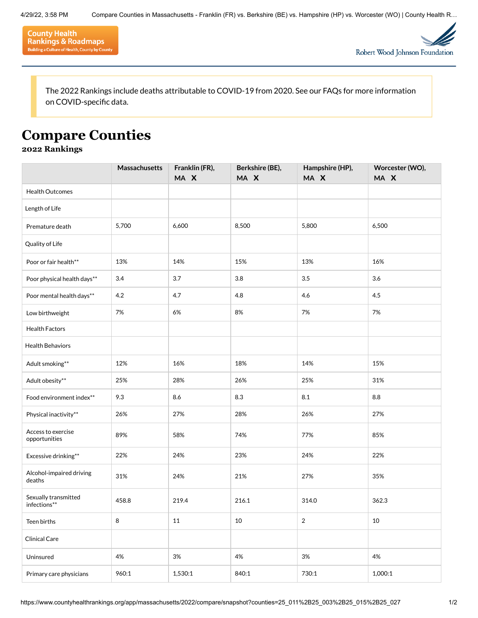



The 2022 Rankings include deaths attributable to COVID-19 from 2020. See our [FAQs](https://www.countyhealthrankings.org/explore-health-rankings/faq-page) for more information on COVID-specific data.

## **Compare Counties**

## **2022 Rankings**

|                                      | Massachusetts | Franklin (FR),<br>MA X | Berkshire (BE),<br>MA X | Hampshire (HP),<br>MA X | Worcester (WO),<br>MA X |
|--------------------------------------|---------------|------------------------|-------------------------|-------------------------|-------------------------|
| <b>Health Outcomes</b>               |               |                        |                         |                         |                         |
| Length of Life                       |               |                        |                         |                         |                         |
| Premature death                      | 5,700         | 6,600                  | 8,500                   | 5,800                   | 6,500                   |
| Quality of Life                      |               |                        |                         |                         |                         |
| Poor or fair health**                | 13%           | 14%                    | 15%                     | 13%                     | 16%                     |
| Poor physical health days**          | 3.4           | 3.7                    | 3.8                     | 3.5                     | 3.6                     |
| Poor mental health days**            | 4.2           | 4.7                    | 4.8                     | 4.6                     | 4.5                     |
| Low birthweight                      | 7%            | 6%                     | 8%                      | 7%                      | 7%                      |
| <b>Health Factors</b>                |               |                        |                         |                         |                         |
| <b>Health Behaviors</b>              |               |                        |                         |                         |                         |
| Adult smoking**                      | 12%           | 16%                    | 18%                     | 14%                     | 15%                     |
| Adult obesity**                      | 25%           | 28%                    | 26%                     | 25%                     | 31%                     |
| Food environment index**             | 9.3           | 8.6                    | 8.3                     | 8.1                     | 8.8                     |
| Physical inactivity**                | 26%           | 27%                    | 28%                     | 26%                     | 27%                     |
| Access to exercise<br>opportunities  | 89%           | 58%                    | 74%                     | 77%                     | 85%                     |
| Excessive drinking**                 | 22%           | 24%                    | 23%                     | 24%                     | 22%                     |
| Alcohol-impaired driving<br>deaths   | 31%           | 24%                    | 21%                     | 27%                     | 35%                     |
| Sexually transmitted<br>infections** | 458.8         | 219.4                  | 216.1                   | 314.0                   | 362.3                   |
| Teen births                          | 8             | 11                     | 10                      | $\overline{2}$          | 10                      |
| Clinical Care                        |               |                        |                         |                         |                         |
| Uninsured                            | 4%            | 3%                     | 4%                      | 3%                      | 4%                      |
| Primary care physicians              | 960:1         | 1,530:1                | 840:1                   | 730:1                   | 1,000:1                 |